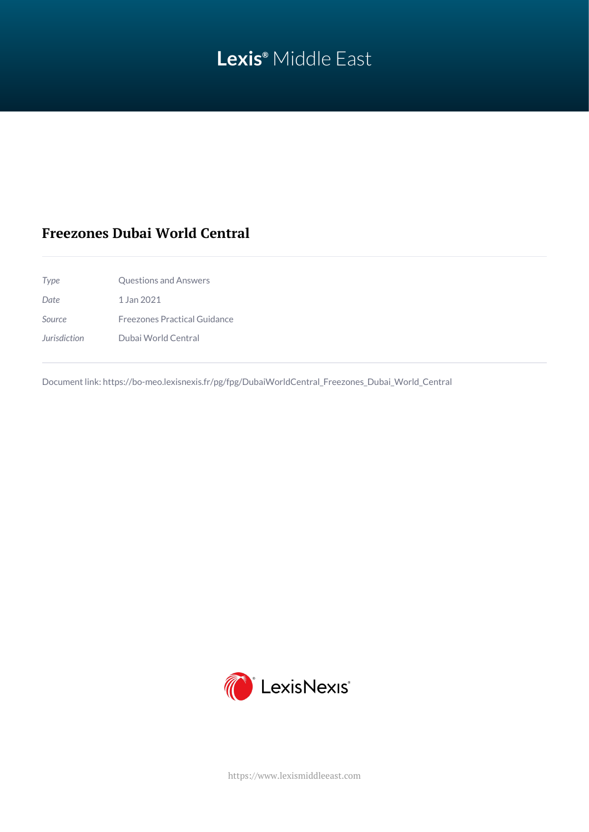# **Lexis®** Middle East

## **Freezones Dubai World Central**

*Type* Questions and Answers *Date* 1 Jan 2021 *Source* Freezones Practical Guidance *Jurisdiction* Dubai World Central

Document link: [https://bo-meo.lexisnexis.fr/pg/fpg/DubaiWorldCentral\\_Freezones\\_Dubai\\_World\\_Central](https://bo-meo.lexisnexis.fr/pg/fpg/DubaiWorldCentral_Freezones_Dubai_World_Central)



<https://www.lexismiddleeast.com>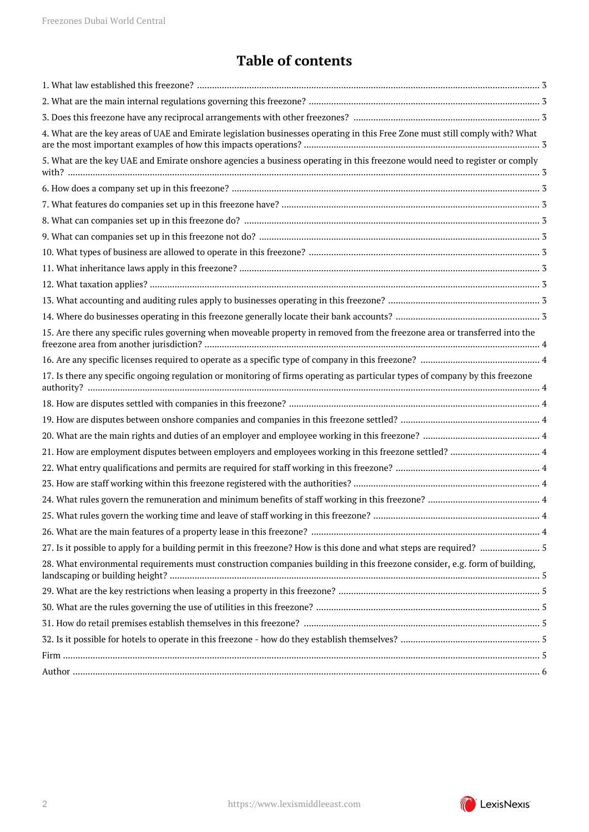## **Table of contents**

| 4. What are the key areas of UAE and Emirate legislation businesses operating in this Free Zone must still comply with? What  |  |
|-------------------------------------------------------------------------------------------------------------------------------|--|
| 5. What are the key UAE and Emirate onshore agencies a business operating in this freezone would need to register or comply   |  |
|                                                                                                                               |  |
|                                                                                                                               |  |
|                                                                                                                               |  |
|                                                                                                                               |  |
|                                                                                                                               |  |
|                                                                                                                               |  |
|                                                                                                                               |  |
|                                                                                                                               |  |
|                                                                                                                               |  |
| 15. Are there any specific rules governing when moveable property in removed from the freezone area or transferred into the   |  |
|                                                                                                                               |  |
| 17. Is there any specific ongoing regulation or monitoring of firms operating as particular types of company by this freezone |  |
|                                                                                                                               |  |
|                                                                                                                               |  |
|                                                                                                                               |  |
|                                                                                                                               |  |
|                                                                                                                               |  |
|                                                                                                                               |  |
|                                                                                                                               |  |
|                                                                                                                               |  |
|                                                                                                                               |  |
| 27. Is it possible to apply for a building permit in this freezone? How is this done and what steps are required?  5          |  |
| 28. What environmental requirements must construction companies building in this freezone consider, e.g. form of building,    |  |
|                                                                                                                               |  |
|                                                                                                                               |  |
|                                                                                                                               |  |
|                                                                                                                               |  |
|                                                                                                                               |  |
|                                                                                                                               |  |
|                                                                                                                               |  |

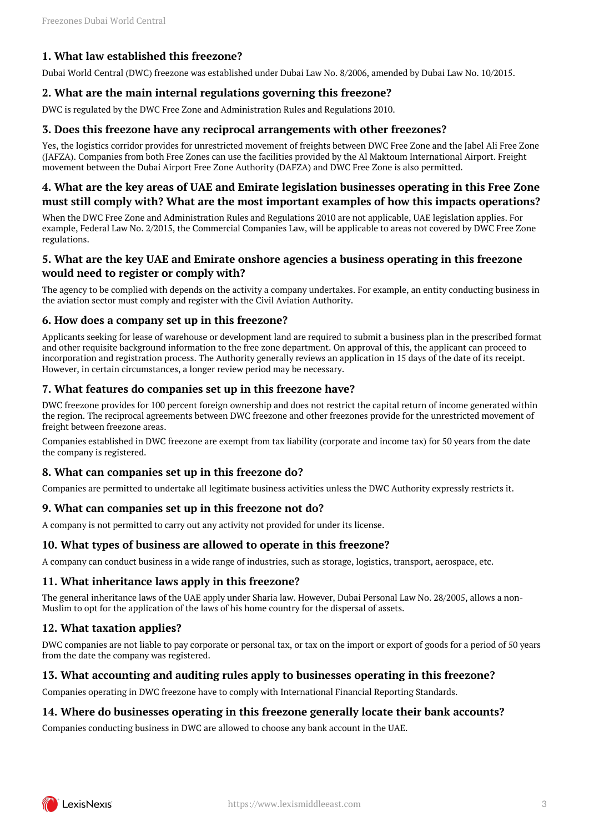#### <span id="page-2-0"></span>**1. What law established this freezone?**

Dubai World Central (DWC) freezone was established under Dubai Law No. 8/2006, amended by Dubai Law No. 10/2015.

#### <span id="page-2-1"></span>**2. What are the main internal regulations governing this freezone?**

DWC is regulated by the DWC Free Zone and Administration Rules and Regulations 2010.

#### <span id="page-2-2"></span>**3. Does this freezone have any reciprocal arrangements with other freezones?**

Yes, the logistics corridor provides for unrestricted movement of freights between DWC Free Zone and the Jabel Ali Free Zone (JAFZA). Companies from both Free Zones can use the facilities provided by the Al Maktoum International Airport. Freight movement between the Dubai Airport Free Zone Authority (DAFZA) and DWC Free Zone is also permitted.

#### <span id="page-2-3"></span>**4. What are the key areas of UAE and Emirate legislation businesses operating in this Free Zone must still comply with? What are the most important examples of how this impacts operations?**

When the DWC Free Zone and Administration Rules and Regulations 2010 are not applicable, UAE legislation applies. For example, Federal Law No. 2/2015, the Commercial Companies Law, will be applicable to areas not covered by DWC Free Zone regulations.

#### <span id="page-2-4"></span>**5. What are the key UAE and Emirate onshore agencies a business operating in this freezone would need to register or comply with?**

The agency to be complied with depends on the activity a company undertakes. For example, an entity conducting business in the aviation sector must comply and register with the Civil Aviation Authority.

#### <span id="page-2-5"></span>**6. How does a company set up in this freezone?**

Applicants seeking for lease of warehouse or development land are required to submit a business plan in the prescribed format and other requisite background information to the free zone department. On approval of this, the applicant can proceed to incorporation and registration process. The Authority generally reviews an application in 15 days of the date of its receipt. However, in certain circumstances, a longer review period may be necessary.

#### <span id="page-2-6"></span>**7. What features do companies set up in this freezone have?**

DWC freezone provides for 100 percent foreign ownership and does not restrict the capital return of income generated within the region. The reciprocal agreements between DWC freezone and other freezones provide for the unrestricted movement of freight between freezone areas.

Companies established in DWC freezone are exempt from tax liability (corporate and income tax) for 50 years from the date the company is registered.

#### <span id="page-2-7"></span>**8. What can companies set up in this freezone do?**

Companies are permitted to undertake all legitimate business activities unless the DWC Authority expressly restricts it.

#### <span id="page-2-8"></span>**9. What can companies set up in this freezone not do?**

A company is not permitted to carry out any activity not provided for under its license.

#### <span id="page-2-9"></span>**10. What types of business are allowed to operate in this freezone?**

A company can conduct business in a wide range of industries, such as storage, logistics, transport, aerospace, etc.

#### <span id="page-2-10"></span>**11. What inheritance laws apply in this freezone?**

The general inheritance laws of the UAE apply under Sharia law. However, Dubai Personal Law No. 28/2005, allows a non-Muslim to opt for the application of the laws of his home country for the dispersal of assets.

#### <span id="page-2-11"></span>**12. What taxation applies?**

DWC companies are not liable to pay corporate or personal tax, or tax on the import or export of goods for a period of 50 years from the date the company was registered.

#### <span id="page-2-12"></span>**13. What accounting and auditing rules apply to businesses operating in this freezone?**

Companies operating in DWC freezone have to comply with International Financial Reporting Standards.

#### <span id="page-2-13"></span>**14. Where do businesses operating in this freezone generally locate their bank accounts?**

Companies conducting business in DWC are allowed to choose any bank account in the UAE.

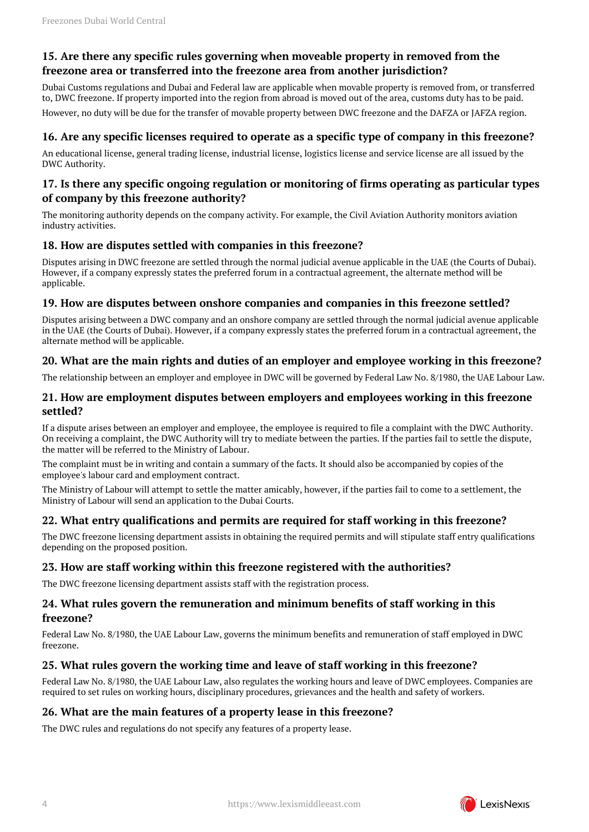#### <span id="page-3-0"></span>**15. Are there any specific rules governing when moveable property in removed from the freezone area or transferred into the freezone area from another jurisdiction?**

Dubai Customs regulations and Dubai and Federal law are applicable when movable property is removed from, or transferred to, DWC freezone. If property imported into the region from abroad is moved out of the area, customs duty has to be paid.

However, no duty will be due for the transfer of movable property between DWC freezone and the DAFZA or JAFZA region.

#### <span id="page-3-1"></span>**16. Are any specific licenses required to operate as a specific type of company in this freezone?**

An educational license, general trading license, industrial license, logistics license and service license are all issued by the DWC Authority.

#### <span id="page-3-2"></span>**17. Is there any specific ongoing regulation or monitoring of firms operating as particular types of company by this freezone authority?**

The monitoring authority depends on the company activity. For example, the Civil Aviation Authority monitors aviation industry activities.

#### <span id="page-3-3"></span>**18. How are disputes settled with companies in this freezone?**

Disputes arising in DWC freezone are settled through the normal judicial avenue applicable in the UAE (the Courts of Dubai). However, if a company expressly states the preferred forum in a contractual agreement, the alternate method will be applicable.

#### <span id="page-3-4"></span>**19. How are disputes between onshore companies and companies in this freezone settled?**

Disputes arising between a DWC company and an onshore company are settled through the normal judicial avenue applicable in the UAE (the Courts of Dubai). However, if a company expressly states the preferred forum in a contractual agreement, the alternate method will be applicable.

#### <span id="page-3-5"></span>**20. What are the main rights and duties of an employer and employee working in this freezone?**

The relationship between an employer and employee in DWC will be governed by Federal Law No. 8/1980, the UAE Labour Law.

#### <span id="page-3-6"></span>**21. How are employment disputes between employers and employees working in this freezone settled?**

If a dispute arises between an employer and employee, the employee is required to file a complaint with the DWC Authority. On receiving a complaint, the DWC Authority will try to mediate between the parties. If the parties fail to settle the dispute, the matter will be referred to the Ministry of Labour.

The complaint must be in writing and contain a summary of the facts. It should also be accompanied by copies of the employee's labour card and employment contract.

The Ministry of Labour will attempt to settle the matter amicably, however, if the parties fail to come to a settlement, the Ministry of Labour will send an application to the Dubai Courts.

#### <span id="page-3-7"></span>**22. What entry qualifications and permits are required for staff working in this freezone?**

The DWC freezone licensing department assists in obtaining the required permits and will stipulate staff entry qualifications depending on the proposed position.

#### <span id="page-3-8"></span>**23. How are staff working within this freezone registered with the authorities?**

The DWC freezone licensing department assists staff with the registration process.

#### <span id="page-3-9"></span>**24. What rules govern the remuneration and minimum benefits of staff working in this freezone?**

Federal Law No. 8/1980, the UAE Labour Law, governs the minimum benefits and remuneration of staff employed in DWC freezone.

#### <span id="page-3-10"></span>**25. What rules govern the working time and leave of staff working in this freezone?**

Federal Law No. 8/1980, the UAE Labour Law, also regulates the working hours and leave of DWC employees. Companies are required to set rules on working hours, disciplinary procedures, grievances and the health and safety of workers.

#### <span id="page-3-11"></span>**26. What are the main features of a property lease in this freezone?**

The DWC rules and regulations do not specify any features of a property lease.

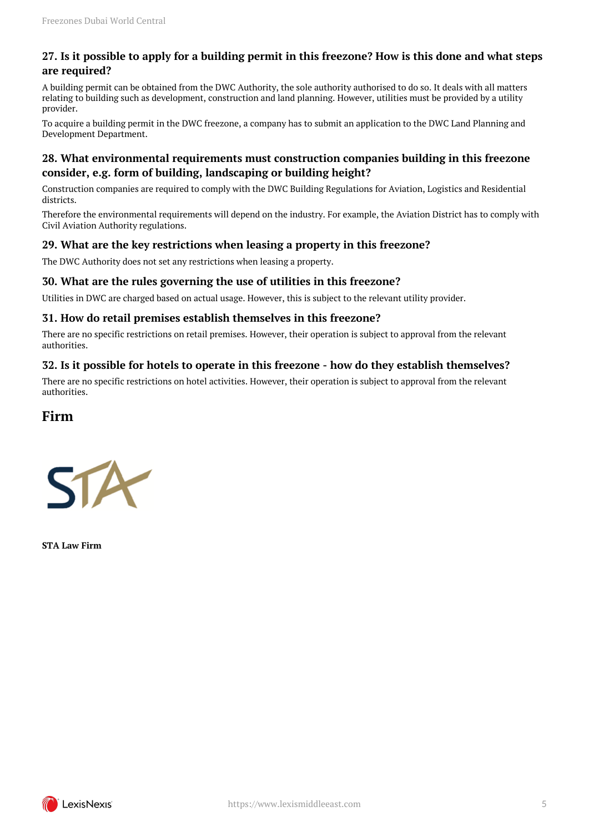#### <span id="page-4-0"></span>**27. Is it possible to apply for a building permit in this freezone? How is this done and what steps are required?**

A building permit can be obtained from the DWC Authority, the sole authority authorised to do so. It deals with all matters relating to building such as development, construction and land planning. However, utilities must be provided by a utility provider.

To acquire a building permit in the DWC freezone, a company has to submit an application to the DWC Land Planning and Development Department.

#### <span id="page-4-1"></span>**28. What environmental requirements must construction companies building in this freezone consider, e.g. form of building, landscaping or building height?**

Construction companies are required to comply with the DWC Building Regulations for Aviation, Logistics and Residential districts.

Therefore the environmental requirements will depend on the industry. For example, the Aviation District has to comply with Civil Aviation Authority regulations.

#### <span id="page-4-2"></span>**29. What are the key restrictions when leasing a property in this freezone?**

The DWC Authority does not set any restrictions when leasing a property.

#### <span id="page-4-3"></span>**30. What are the rules governing the use of utilities in this freezone?**

Utilities in DWC are charged based on actual usage. However, this is subject to the relevant utility provider.

#### <span id="page-4-4"></span>**31. How do retail premises establish themselves in this freezone?**

There are no specific restrictions on retail premises. However, their operation is subject to approval from the relevant authorities.

#### <span id="page-4-5"></span>**32. Is it possible for hotels to operate in this freezone - how do they establish themselves?**

There are no specific restrictions on hotel activities. However, their operation is subject to approval from the relevant authorities.

#### <span id="page-4-6"></span>**Firm**



**STA Law Firm**